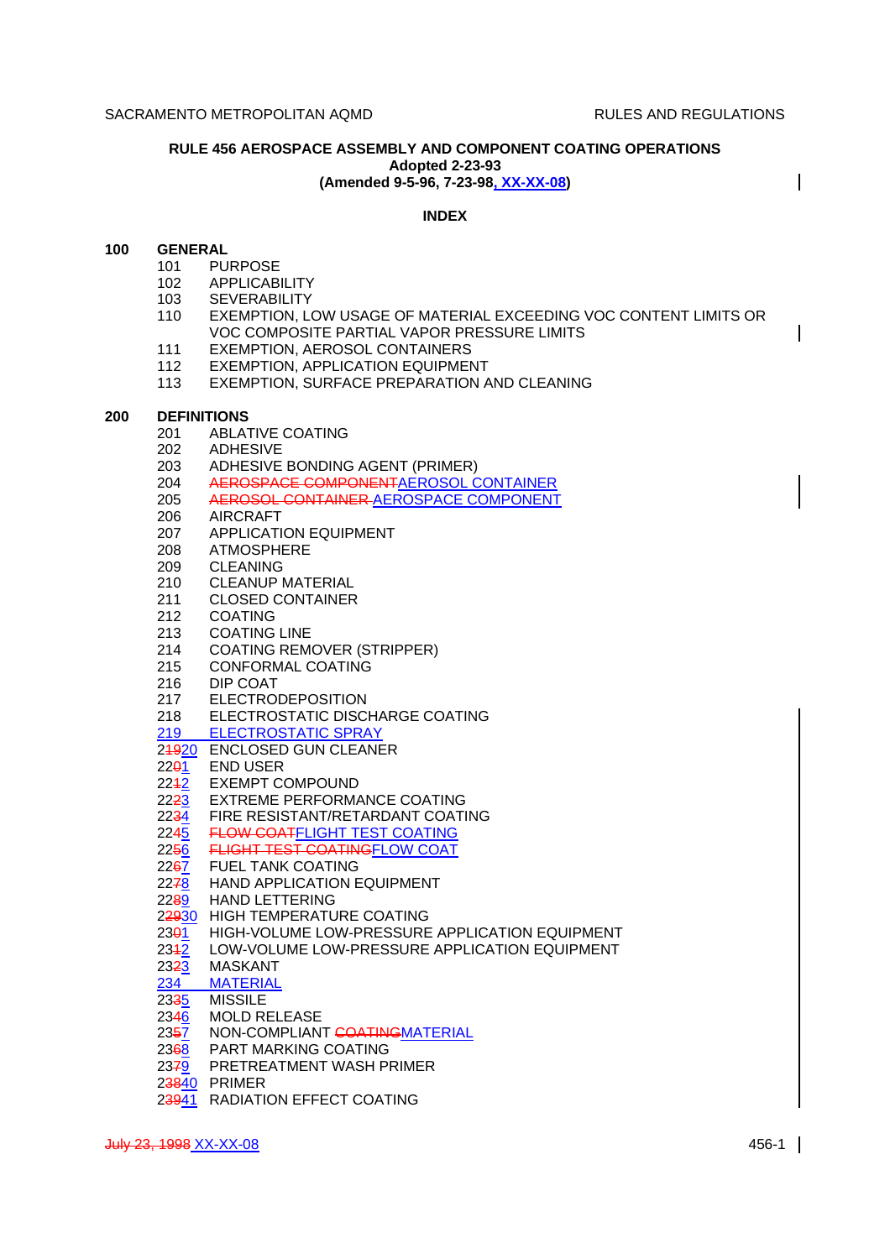$\overline{\phantom{a}}$ 

 $\mathbf l$ 

## **RULE 456 AEROSPACE ASSEMBLY AND COMPONENT COATING OPERATIONS Adopted 2-23-93 (Amended 9-5-96, 7-23-98, XX-XX-08)**

# **INDEX**

## **100 GENERAL**

- 101 PURPOSE
- 102 APPLICABILITY
- 103 SEVERABILITY
- 110 EXEMPTION, LOW USAGE OF MATERIAL EXCEEDING VOC CONTENT LIMITS OR VOC COMPOSITE PARTIAL VAPOR PRESSURE LIMITS
- 111 EXEMPTION, AEROSOL CONTAINERS
- 112 EXEMPTION, APPLICATION EQUIPMENT
- 113 EXEMPTION, SURFACE PREPARATION AND CLEANING

### **200 DEFINITIONS**

- 201 ABLATIVE COATING
- 202 ADHESIVE
- 203 ADHESIVE BONDING AGENT (PRIMER)
- 204 AEROSPACE COMPONENTAEROSOL CONTAINER
- 205 AEROSOL CONTAINER AEROSPACE COMPONENT
- 206 AIRCRAFT
- 207 APPLICATION EQUIPMENT
- 208 ATMOSPHERE
- 209 CLEANING
- 210 CLEANUP MATERIAL
- 211 CLOSED CONTAINER
- 212 COATING
- 213 COATING LINE
- 214 COATING REMOVER (STRIPPER)
- 215 CONFORMAL COATING
- 216 DIP COAT
- 217 ELECTRODEPOSITION
- 218 ELECTROSTATIC DISCHARGE COATING
- 219 ELECTROSTATIC SPRAY
- 21920 ENCLOSED GUN CLEANER
- 22<sup>01</sup> END USER
- 2242 EXEMPT COMPOUND
- 2223 EXTREME PERFORMANCE COATING
- 2234 FIRE RESISTANT/RETARDANT COATING
- 2245 FLOW COATFLIGHT TEST COATING
- 2250 FLIGHT TEST COATINGFLOW COAT
- **FUEL TANK COATING**
- 2278 HAND APPLICATION EQUIPMENT
- 2289 HAND LETTERING
- 22930 HIGH TEMPERATURE COATING
- 2301 HIGH-VOLUME LOW-PRESSURE APPLICATION EQUIPMENT
- 2342 LOW-VOLUME LOW-PRESSURE APPLICATION EQUIPMENT
- 
- 23<del>2</del>3 MASKANT<br>234 MATERIAL 234 MATERIAL<br>23<del>3</del>5 MISSILE
- **MISSILE**
- 2346 MOLD RELEASE
- 2357 NON-COMPLIANT COATINGMATERIAL
- 2368 PART MARKING COATING
- 2379 PRETREATMENT WASH PRIMER
- 23840 PRIMER
- 23941 RADIATION EFFECT COATING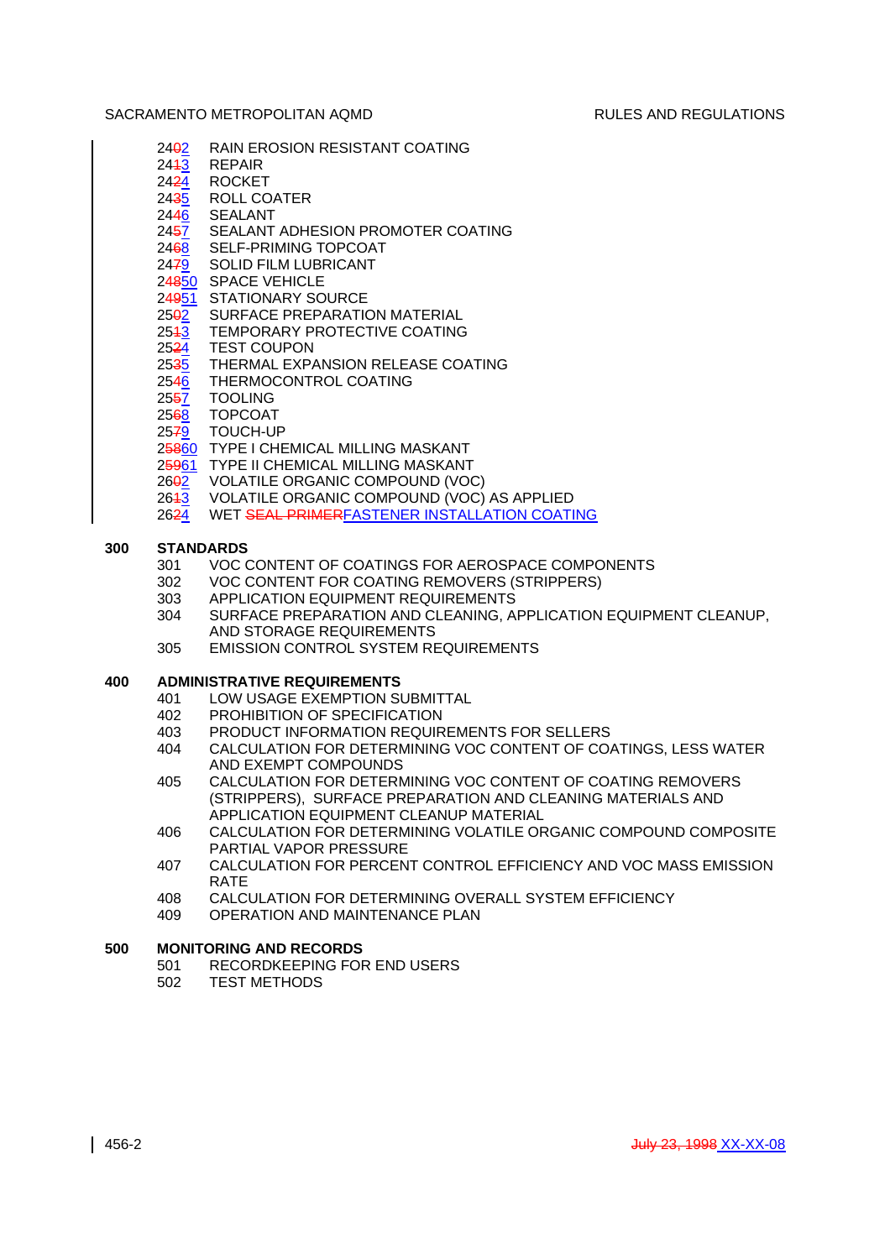- 2402 RAIN EROSION RESISTANT COATING
- 24<del>1</del>3 REPAIR<br>24<del>2</del>4 ROCKET
- **ROCKET**
- 2435 ROLL COATER 2446 SEALANT
- 2457 SEALANT ADHESION PROMOTER COATING
- 2468 SELF-PRIMING TOPCOAT
- 2479 SOLID FILM LUBRICANT
- 24850 SPACE VEHICLE
- 24951 STATIONARY SOURCE
- 2502 SURFACE PREPARATION MATERIAL
- 2543 TEMPORARY PROTECTIVE COATING
- 2524 TEST COUPON
- 2535 THERMAL EXPANSION RELEASE COATING
- 2546 THERMOCONTROL COATING
- 2557 TOOLING
- 2568 TOPCOAT
- 2579 TOUCH-UP
- 25860 TYPE I CHEMICAL MILLING MASKANT
- 25961 TYPE II CHEMICAL MILLING MASKANT
- 2602 VOLATILE ORGANIC COMPOUND (VOC)
- 2643 VOLATILE ORGANIC COMPOUND (VOC) AS APPLIED
- 2624 WET SEAL PRIMERFASTENER INSTALLATION COATING

# **300 STANDARDS**

- 301 VOC CONTENT OF COATINGS FOR AEROSPACE COMPONENTS
- 302 VOC CONTENT FOR COATING REMOVERS (STRIPPERS)
- 303 APPLICATION EQUIPMENT REQUIREMENTS
- 304 SURFACE PREPARATION AND CLEANING, APPLICATION EQUIPMENT CLEANUP, AND STORAGE REQUIREMENTS
- 305 EMISSION CONTROL SYSTEM REQUIREMENTS

# **400 ADMINISTRATIVE REQUIREMENTS**

- 401 LOW USAGE EXEMPTION SUBMITTAL
- 402 PROHIBITION OF SPECIFICATION
- 403 PRODUCT INFORMATION REQUIREMENTS FOR SELLERS<br>404 CALCULATION FOR DETERMINING VOC CONTENT OF CO
- CALCULATION FOR DETERMINING VOC CONTENT OF COATINGS, LESS WATER AND EXEMPT COMPOUNDS
- 405 CALCULATION FOR DETERMINING VOC CONTENT OF COATING REMOVERS (STRIPPERS), SURFACE PREPARATION AND CLEANING MATERIALS AND APPLICATION EQUIPMENT CLEANUP MATERIAL
- 406 CALCULATION FOR DETERMINING VOLATILE ORGANIC COMPOUND COMPOSITE PARTIAL VAPOR PRESSURE
- 407 CALCULATION FOR PERCENT CONTROL EFFICIENCY AND VOC MASS EMISSION RATE
- 408 CALCULATION FOR DETERMINING OVERALL SYSTEM EFFICIENCY
- 409 OPERATION AND MAINTENANCE PLAN

# **500 MONITORING AND RECORDS**

- 501 RECORDKEEPING FOR END USERS
- 502 TEST METHODS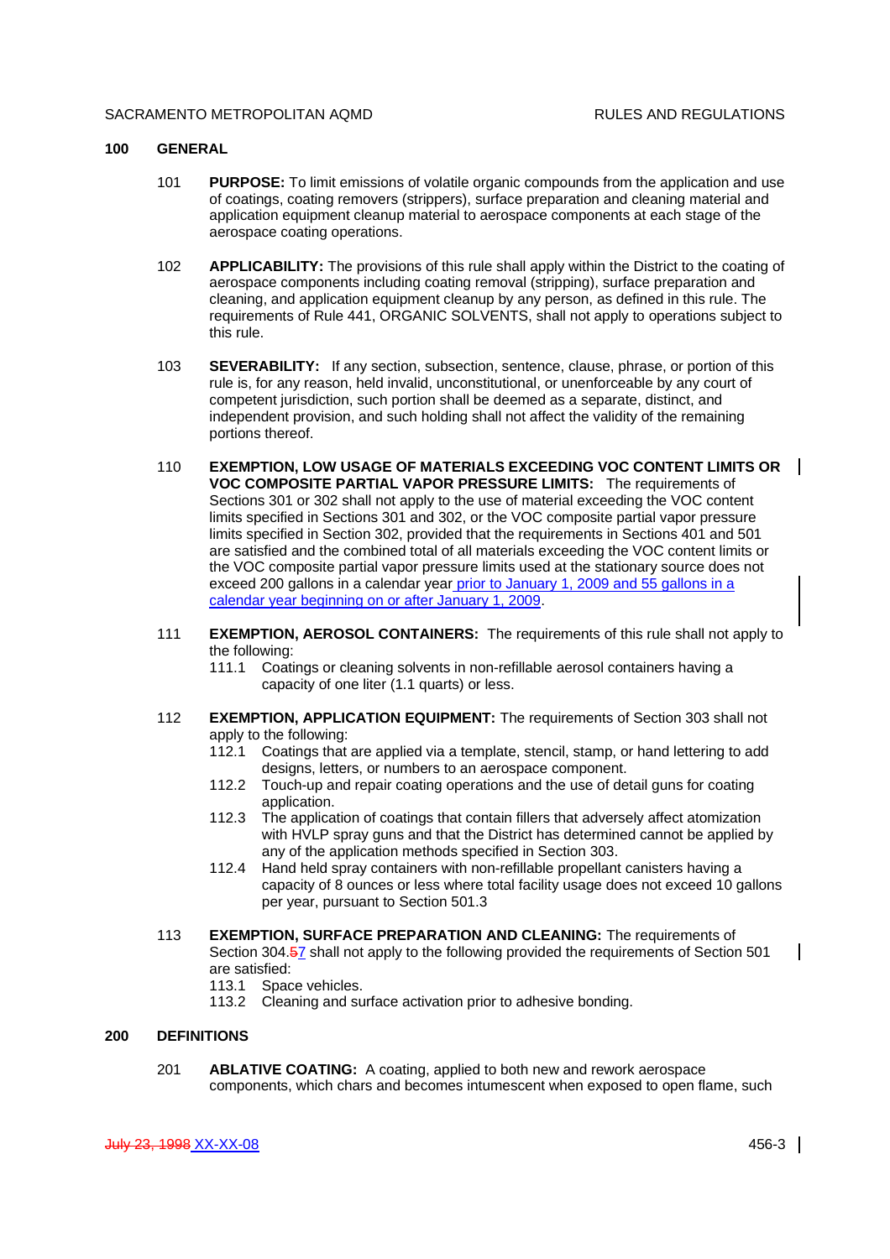#### **100 GENERAL**

- 101 **PURPOSE:** To limit emissions of volatile organic compounds from the application and use of coatings, coating removers (strippers), surface preparation and cleaning material and application equipment cleanup material to aerospace components at each stage of the aerospace coating operations.
- 102 **APPLICABILITY:** The provisions of this rule shall apply within the District to the coating of aerospace components including coating removal (stripping), surface preparation and cleaning, and application equipment cleanup by any person, as defined in this rule. The requirements of Rule 441, ORGANIC SOLVENTS, shall not apply to operations subject to this rule.
- 103 **SEVERABILITY:** If any section, subsection, sentence, clause, phrase, or portion of this rule is, for any reason, held invalid, unconstitutional, or unenforceable by any court of competent jurisdiction, such portion shall be deemed as a separate, distinct, and independent provision, and such holding shall not affect the validity of the remaining portions thereof.
- 110 **EXEMPTION, LOW USAGE OF MATERIALS EXCEEDING VOC CONTENT LIMITS OR VOC COMPOSITE PARTIAL VAPOR PRESSURE LIMITS:** The requirements of Sections 301 or 302 shall not apply to the use of material exceeding the VOC content limits specified in Sections 301 and 302, or the VOC composite partial vapor pressure limits specified in Section 302, provided that the requirements in Sections 401 and 501 are satisfied and the combined total of all materials exceeding the VOC content limits or the VOC composite partial vapor pressure limits used at the stationary source does not exceed 200 gallons in a calendar year prior to January 1, 2009 and 55 gallons in a calendar year beginning on or after January 1, 2009.
- 111 **EXEMPTION, AEROSOL CONTAINERS:** The requirements of this rule shall not apply to the following:
	- 111.1 Coatings or cleaning solvents in non-refillable aerosol containers having a capacity of one liter (1.1 quarts) or less.
- 112 **EXEMPTION, APPLICATION EQUIPMENT:** The requirements of Section 303 shall not apply to the following:
	- 112.1 Coatings that are applied via a template, stencil, stamp, or hand lettering to add designs, letters, or numbers to an aerospace component.
	- 112.2 Touch-up and repair coating operations and the use of detail guns for coating application.
	- 112.3 The application of coatings that contain fillers that adversely affect atomization with HVLP spray guns and that the District has determined cannot be applied by any of the application methods specified in Section 303.
	- 112.4 Hand held spray containers with non-refillable propellant canisters having a capacity of 8 ounces or less where total facility usage does not exceed 10 gallons per year, pursuant to Section 501.3
- 113 **EXEMPTION, SURFACE PREPARATION AND CLEANING:** The requirements of Section 304.57 shall not apply to the following provided the requirements of Section 501 are satisfied:
	- 113.1 Space vehicles.
	- 113.2 Cleaning and surface activation prior to adhesive bonding.

# **200 DEFINITIONS**

201 **ABLATIVE COATING:** A coating, applied to both new and rework aerospace components, which chars and becomes intumescent when exposed to open flame, such  $\mathsf{l}$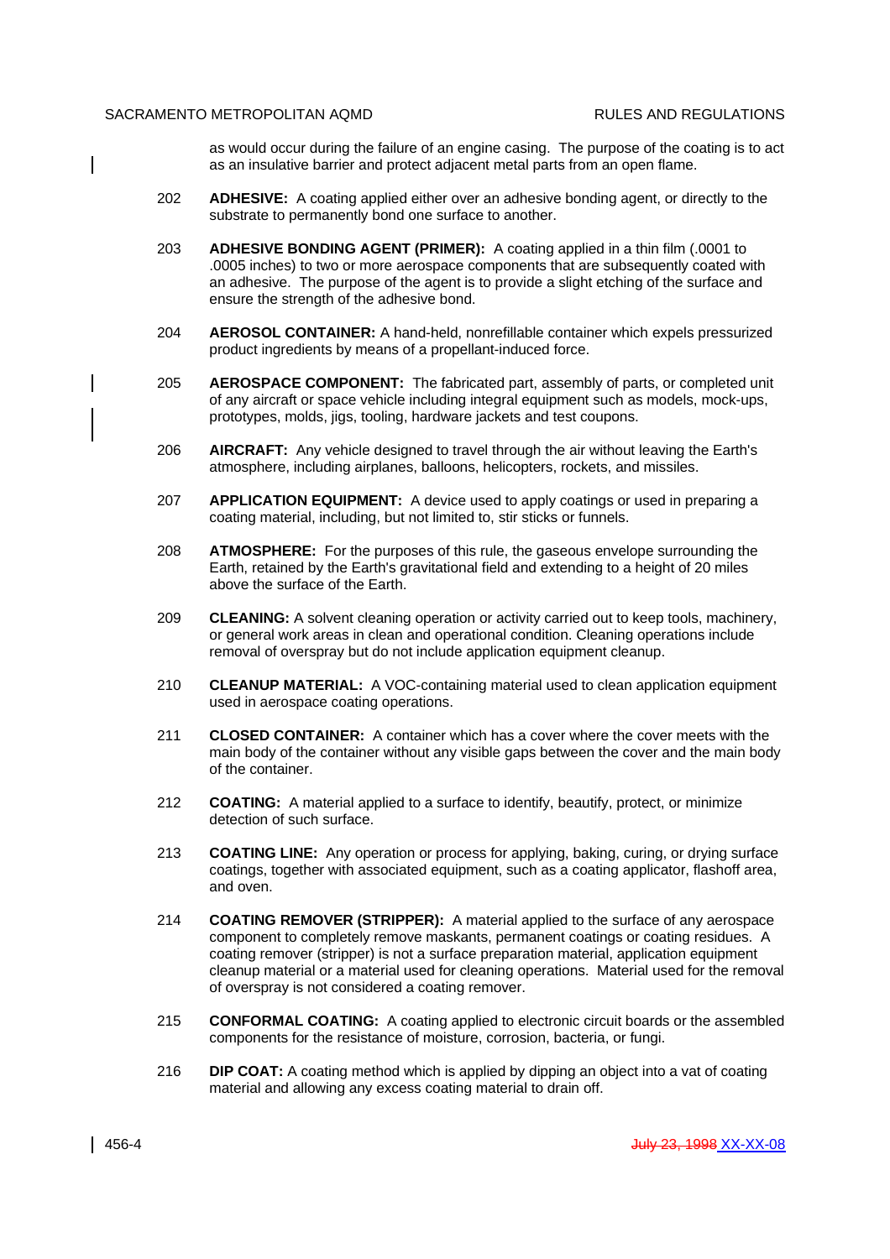$\overline{\phantom{a}}$ 

 $\mathsf{l}$ 

as would occur during the failure of an engine casing. The purpose of the coating is to act as an insulative barrier and protect adjacent metal parts from an open flame.

- 202 **ADHESIVE:** A coating applied either over an adhesive bonding agent, or directly to the substrate to permanently bond one surface to another.
- 203 **ADHESIVE BONDING AGENT (PRIMER):** A coating applied in a thin film (.0001 to .0005 inches) to two or more aerospace components that are subsequently coated with an adhesive. The purpose of the agent is to provide a slight etching of the surface and ensure the strength of the adhesive bond.
- 204 **AEROSOL CONTAINER:** A hand-held, nonrefillable container which expels pressurized product ingredients by means of a propellant-induced force.
- 205 **AEROSPACE COMPONENT:** The fabricated part, assembly of parts, or completed unit of any aircraft or space vehicle including integral equipment such as models, mock-ups, prototypes, molds, jigs, tooling, hardware jackets and test coupons.
- 206 **AIRCRAFT:** Any vehicle designed to travel through the air without leaving the Earth's atmosphere, including airplanes, balloons, helicopters, rockets, and missiles.
- 207 **APPLICATION EQUIPMENT:** A device used to apply coatings or used in preparing a coating material, including, but not limited to, stir sticks or funnels.
- 208 **ATMOSPHERE:** For the purposes of this rule, the gaseous envelope surrounding the Earth, retained by the Earth's gravitational field and extending to a height of 20 miles above the surface of the Earth.
- 209 **CLEANING:** A solvent cleaning operation or activity carried out to keep tools, machinery, or general work areas in clean and operational condition. Cleaning operations include removal of overspray but do not include application equipment cleanup.
- 210 **CLEANUP MATERIAL:** A VOC-containing material used to clean application equipment used in aerospace coating operations.
- 211 **CLOSED CONTAINER:** A container which has a cover where the cover meets with the main body of the container without any visible gaps between the cover and the main body of the container.
- 212 **COATING:** A material applied to a surface to identify, beautify, protect, or minimize detection of such surface.
- 213 **COATING LINE:** Any operation or process for applying, baking, curing, or drying surface coatings, together with associated equipment, such as a coating applicator, flashoff area, and oven.
- 214 **COATING REMOVER (STRIPPER):** A material applied to the surface of any aerospace component to completely remove maskants, permanent coatings or coating residues. A coating remover (stripper) is not a surface preparation material, application equipment cleanup material or a material used for cleaning operations. Material used for the removal of overspray is not considered a coating remover.
- 215 **CONFORMAL COATING:** A coating applied to electronic circuit boards or the assembled components for the resistance of moisture, corrosion, bacteria, or fungi.
- 216 **DIP COAT:** A coating method which is applied by dipping an object into a vat of coating material and allowing any excess coating material to drain off.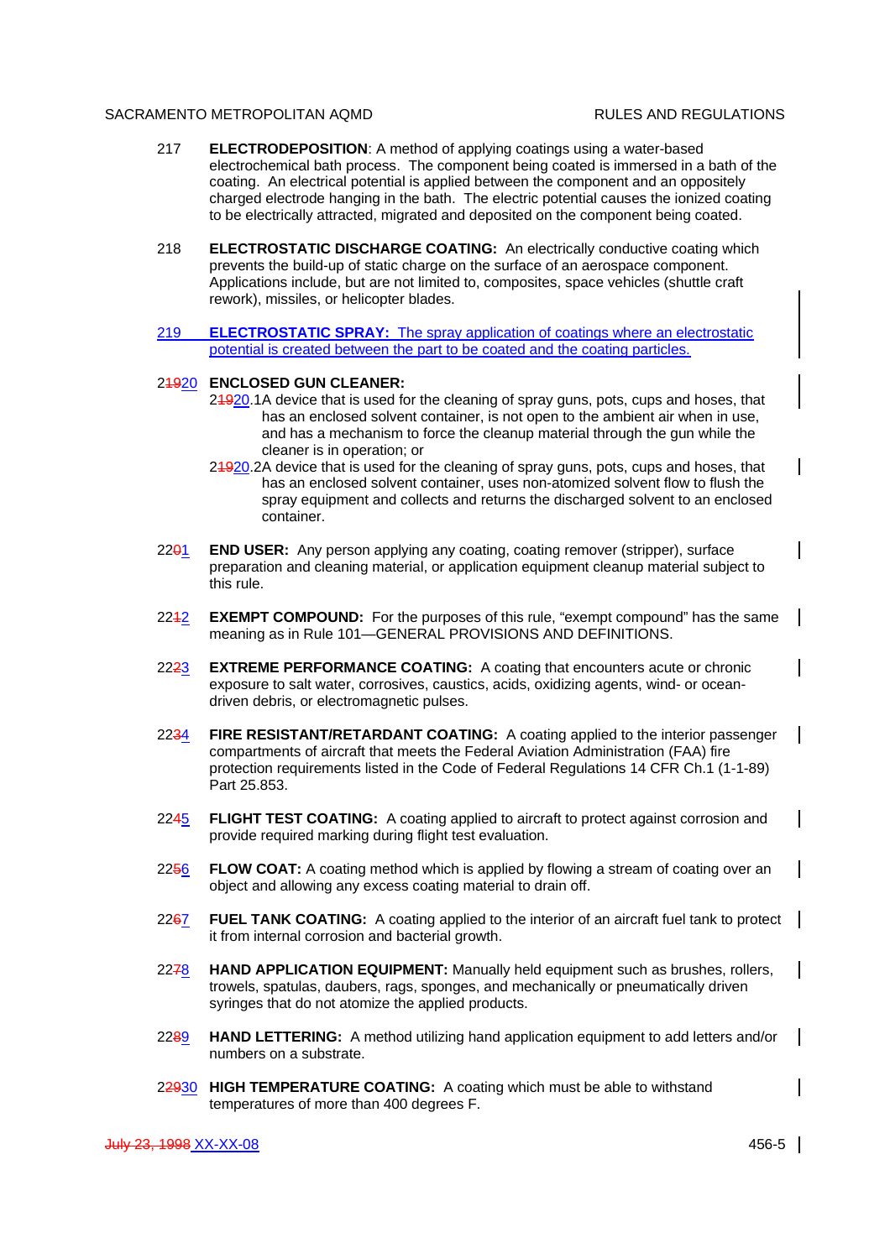- 217 **ELECTRODEPOSITION**: A method of applying coatings using a water-based electrochemical bath process. The component being coated is immersed in a bath of the coating. An electrical potential is applied between the component and an oppositely charged electrode hanging in the bath. The electric potential causes the ionized coating to be electrically attracted, migrated and deposited on the component being coated.
- 218 **ELECTROSTATIC DISCHARGE COATING:** An electrically conductive coating which prevents the build-up of static charge on the surface of an aerospace component. Applications include, but are not limited to, composites, space vehicles (shuttle craft rework), missiles, or helicopter blades.
- 219 **ELECTROSTATIC SPRAY:** The spray application of coatings where an electrostatic potential is created between the part to be coated and the coating particles.

## 21920 **ENCLOSED GUN CLEANER:**

- 24920.1A device that is used for the cleaning of spray guns, pots, cups and hoses, that has an enclosed solvent container, is not open to the ambient air when in use, and has a mechanism to force the cleanup material through the gun while the cleaner is in operation; or
- 24920.2A device that is used for the cleaning of spray guns, pots, cups and hoses, that has an enclosed solvent container, uses non-atomized solvent flow to flush the spray equipment and collects and returns the discharged solvent to an enclosed container.
- 2201 **END USER:** Any person applying any coating, coating remover (stripper), surface preparation and cleaning material, or application equipment cleanup material subject to this rule.
- 2212 **EXEMPT COMPOUND:** For the purposes of this rule, "exempt compound" has the same meaning as in Rule 101—GENERAL PROVISIONS AND DEFINITIONS.
- 2223 **EXTREME PERFORMANCE COATING:** A coating that encounters acute or chronic exposure to salt water, corrosives, caustics, acids, oxidizing agents, wind- or oceandriven debris, or electromagnetic pulses.
- 2234 **FIRE RESISTANT/RETARDANT COATING:** A coating applied to the interior passenger compartments of aircraft that meets the Federal Aviation Administration (FAA) fire protection requirements listed in the Code of Federal Regulations 14 CFR Ch.1 (1-1-89) Part 25.853.
- 2245 **FLIGHT TEST COATING:** A coating applied to aircraft to protect against corrosion and provide required marking during flight test evaluation.
- 2256 **FLOW COAT:** A coating method which is applied by flowing a stream of coating over an object and allowing any excess coating material to drain off.
- 2267 **FUEL TANK COATING:** A coating applied to the interior of an aircraft fuel tank to protect it from internal corrosion and bacterial growth.
- 2278 **HAND APPLICATION EQUIPMENT:** Manually held equipment such as brushes, rollers, trowels, spatulas, daubers, rags, sponges, and mechanically or pneumatically driven syringes that do not atomize the applied products.
- 2289 **HAND LETTERING:** A method utilizing hand application equipment to add letters and/or numbers on a substrate.
- 22930 **HIGH TEMPERATURE COATING:** A coating which must be able to withstand temperatures of more than 400 degrees F.

 $\mathsf{l}$ 

 $\mathbf{I}$ 

 $\mathsf{l}$ 

 $\mathsf{l}$ 

 $\mathsf{l}$ 

 $\mathbf{I}$ 

 $\mathsf{l}$ 

 $\mathsf{l}$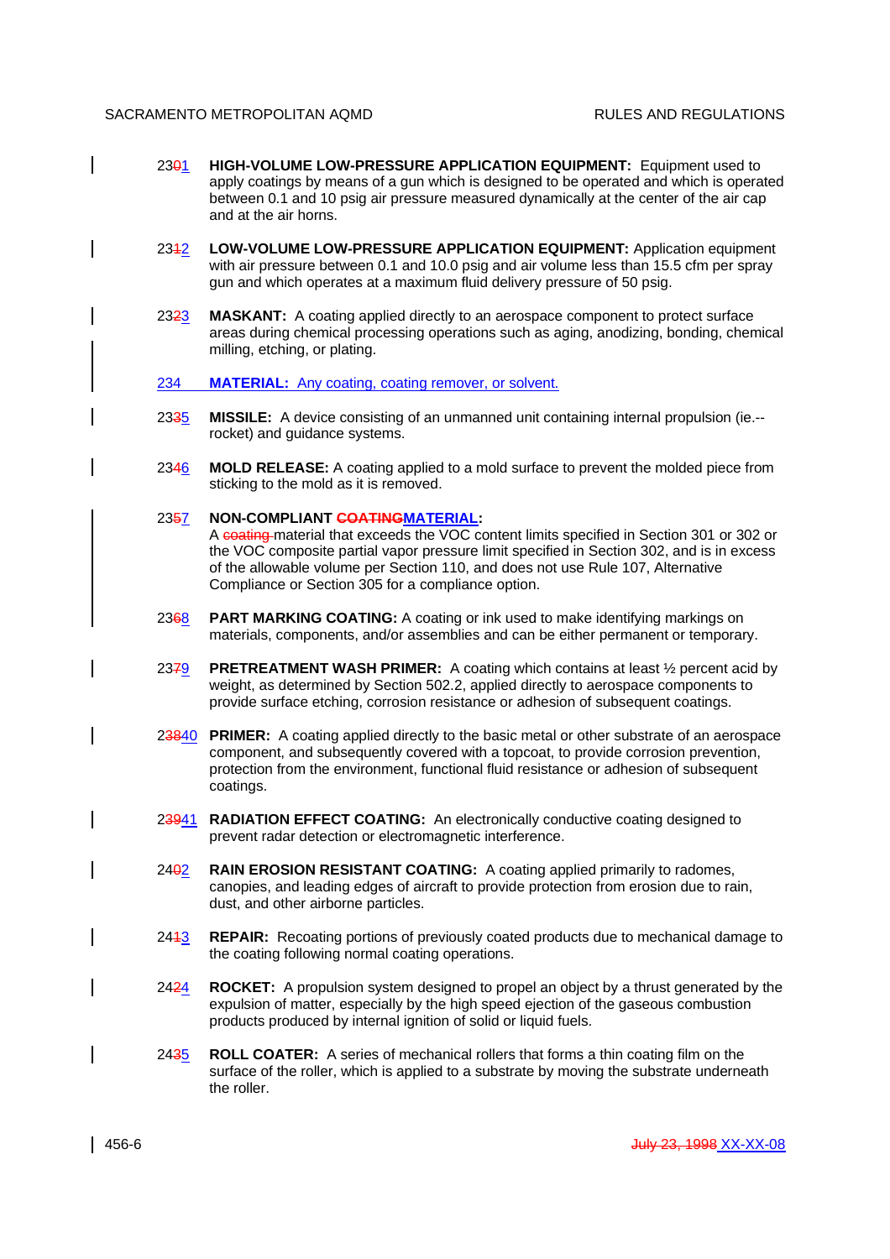- 2301 **HIGH-VOLUME LOW-PRESSURE APPLICATION EQUIPMENT:** Equipment used to apply coatings by means of a gun which is designed to be operated and which is operated between 0.1 and 10 psig air pressure measured dynamically at the center of the air cap and at the air horns.
- 2312 **LOW-VOLUME LOW-PRESSURE APPLICATION EQUIPMENT:** Application equipment with air pressure between 0.1 and 10.0 psig and air volume less than 15.5 cfm per spray gun and which operates at a maximum fluid delivery pressure of 50 psig.
- 2323 **MASKANT:** A coating applied directly to an aerospace component to protect surface areas during chemical processing operations such as aging, anodizing, bonding, chemical milling, etching, or plating.
- 234 MATERIAL: Any coating, coating remover, or solvent.
- 2335 **MISSILE:** A device consisting of an unmanned unit containing internal propulsion (ie.- rocket) and guidance systems.
- 2346 **MOLD RELEASE:** A coating applied to a mold surface to prevent the molded piece from sticking to the mold as it is removed.

# 2357 **NON-COMPLIANT COATINGMATERIAL:**

A coating material that exceeds the VOC content limits specified in Section 301 or 302 or the VOC composite partial vapor pressure limit specified in Section 302, and is in excess of the allowable volume per Section 110, and does not use Rule 107, Alternative Compliance or Section 305 for a compliance option.

- 2368 **PART MARKING COATING:** A coating or ink used to make identifying markings on materials, components, and/or assemblies and can be either permanent or temporary.
- 2379 **PRETREATMENT WASH PRIMER:** A coating which contains at least ½ percent acid by weight, as determined by Section 502.2, applied directly to aerospace components to provide surface etching, corrosion resistance or adhesion of subsequent coatings.
- 23840 **PRIMER:** A coating applied directly to the basic metal or other substrate of an aerospace component, and subsequently covered with a topcoat, to provide corrosion prevention, protection from the environment, functional fluid resistance or adhesion of subsequent coatings.
- 23941 **RADIATION EFFECT COATING:** An electronically conductive coating designed to prevent radar detection or electromagnetic interference.
- 2402 **RAIN EROSION RESISTANT COATING:** A coating applied primarily to radomes, canopies, and leading edges of aircraft to provide protection from erosion due to rain, dust, and other airborne particles.
- 2413 **REPAIR:** Recoating portions of previously coated products due to mechanical damage to the coating following normal coating operations.
- 2424 **ROCKET:** A propulsion system designed to propel an object by a thrust generated by the expulsion of matter, especially by the high speed ejection of the gaseous combustion products produced by internal ignition of solid or liquid fuels.
- 2435 **ROLL COATER:** A series of mechanical rollers that forms a thin coating film on the surface of the roller, which is applied to a substrate by moving the substrate underneath the roller.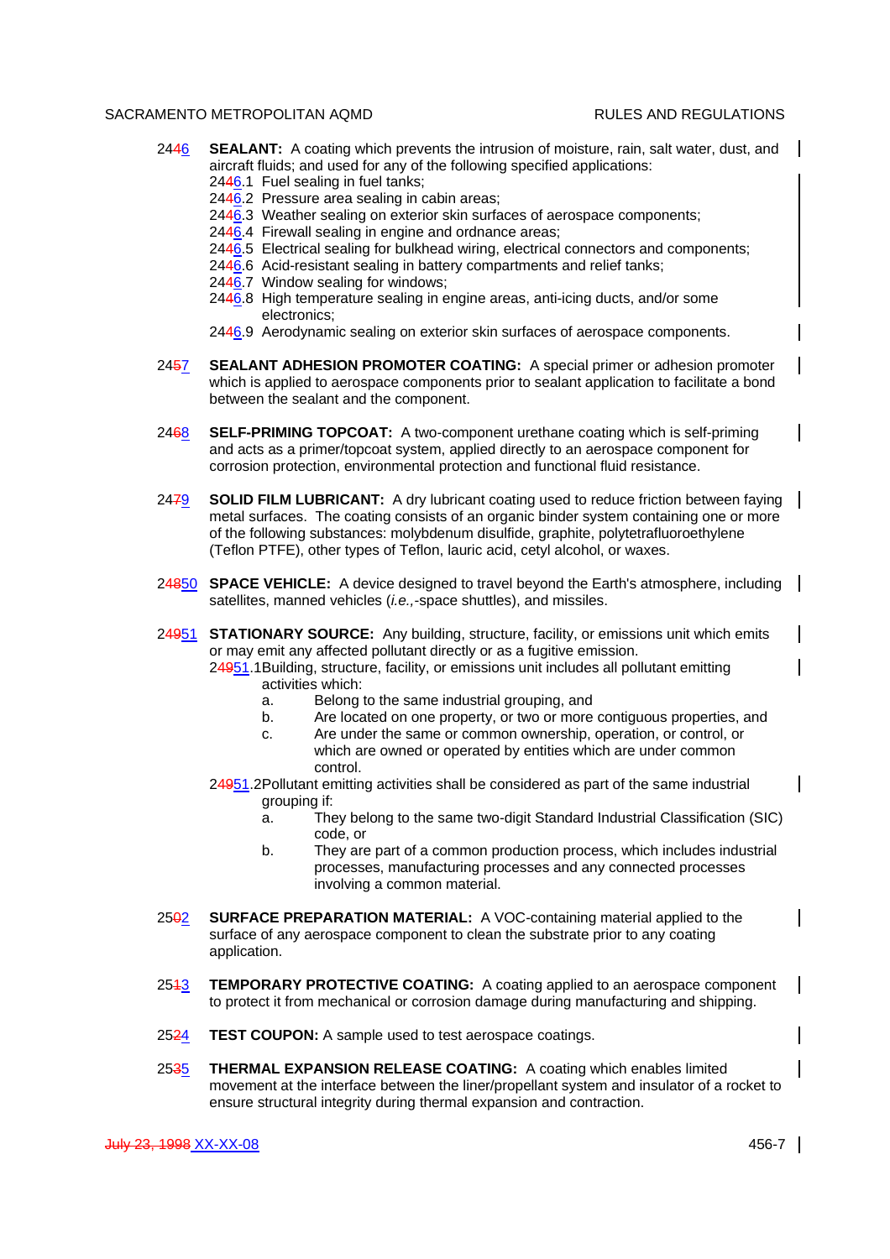$\mathsf{l}$ 

 $\mathbf{l}$ 

 $\mathsf{l}$ 

- 2446 **SEALANT:** A coating which prevents the intrusion of moisture, rain, salt water, dust, and aircraft fluids; and used for any of the following specified applications:
	- $2446.1$  Fuel sealing in fuel tanks;
	- 2446.2 Pressure area sealing in cabin areas;
	- 2446.3 Weather sealing on exterior skin surfaces of aerospace components;
	- 2446.4 Firewall sealing in engine and ordnance areas;
	- 2446.5 Electrical sealing for bulkhead wiring, electrical connectors and components;
	- 2446.6 Acid-resistant sealing in battery compartments and relief tanks;
	- 2446.7 Window sealing for windows;
	- 2446.8 High temperature sealing in engine areas, anti-icing ducts, and/or some electronics;
	- 2446.9 Aerodynamic sealing on exterior skin surfaces of aerospace components.
- 2457 **SEALANT ADHESION PROMOTER COATING:** A special primer or adhesion promoter which is applied to aerospace components prior to sealant application to facilitate a bond between the sealant and the component.
- 2468 **SELF-PRIMING TOPCOAT:** A two-component urethane coating which is self-priming and acts as a primer/topcoat system, applied directly to an aerospace component for corrosion protection, environmental protection and functional fluid resistance.
- 2479 **SOLID FILM LUBRICANT:** A dry lubricant coating used to reduce friction between faying metal surfaces. The coating consists of an organic binder system containing one or more of the following substances: molybdenum disulfide, graphite, polytetrafluoroethylene (Teflon PTFE), other types of Teflon, lauric acid, cetyl alcohol, or waxes.
- 24850 **SPACE VEHICLE:** A device designed to travel beyond the Earth's atmosphere, including  $\blacksquare$ satellites, manned vehicles (*i.e.,*-space shuttles), and missiles.
- 24951 **STATIONARY SOURCE:** Any building, structure, facility, or emissions unit which emits or may emit any affected pollutant directly or as a fugitive emission. 24951.1Building, structure, facility, or emissions unit includes all pollutant emitting activities which:
	- a. Belong to the same industrial grouping, and
	- b. Are located on one property, or two or more contiguous properties, and
	- c. Are under the same or common ownership, operation, or control, or which are owned or operated by entities which are under common control.
	- 24951.2Pollutant emitting activities shall be considered as part of the same industrial grouping if:
		- a. They belong to the same two-digit Standard Industrial Classification (SIC) code, or
		- b. They are part of a common production process, which includes industrial processes, manufacturing processes and any connected processes involving a common material.
- 2502 **SURFACE PREPARATION MATERIAL:** A VOC-containing material applied to the surface of any aerospace component to clean the substrate prior to any coating application.
- 2513 **TEMPORARY PROTECTIVE COATING:** A coating applied to an aerospace component to protect it from mechanical or corrosion damage during manufacturing and shipping.
- 2524 **TEST COUPON:** A sample used to test aerospace coatings.
- 2535 **THERMAL EXPANSION RELEASE COATING:** A coating which enables limited movement at the interface between the liner/propellant system and insulator of a rocket to ensure structural integrity during thermal expansion and contraction.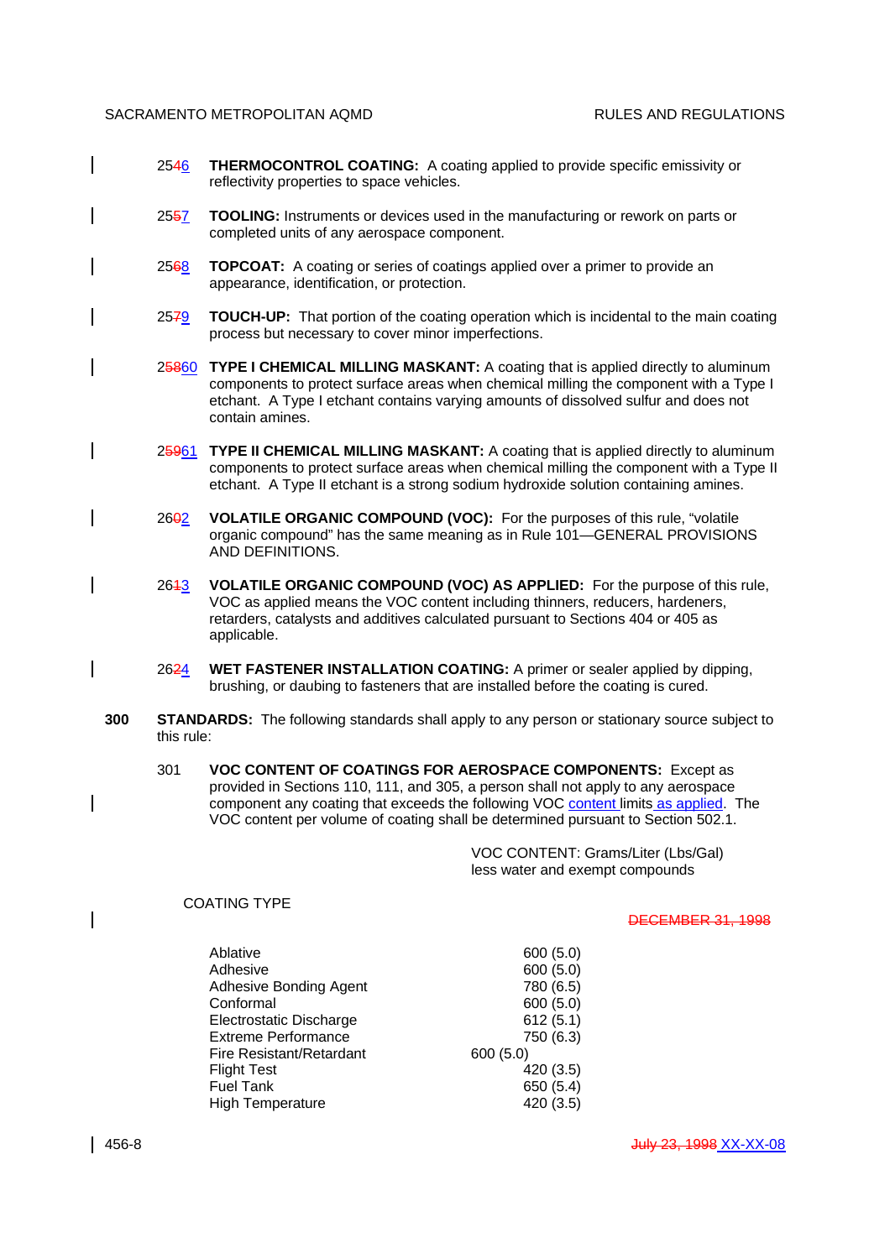- 2546 **THERMOCONTROL COATING:** A coating applied to provide specific emissivity or reflectivity properties to space vehicles.
- 2557 **TOOLING:** Instruments or devices used in the manufacturing or rework on parts or completed units of any aerospace component.
- 2568 **TOPCOAT:** A coating or series of coatings applied over a primer to provide an appearance, identification, or protection.
- 2579 **TOUCH-UP:** That portion of the coating operation which is incidental to the main coating process but necessary to cover minor imperfections.
- 25860 **TYPE I CHEMICAL MILLING MASKANT:** A coating that is applied directly to aluminum components to protect surface areas when chemical milling the component with a Type I etchant. A Type I etchant contains varying amounts of dissolved sulfur and does not contain amines.
- 25961 **TYPE II CHEMICAL MILLING MASKANT:** A coating that is applied directly to aluminum components to protect surface areas when chemical milling the component with a Type II etchant. A Type II etchant is a strong sodium hydroxide solution containing amines.
- 2602 **VOLATILE ORGANIC COMPOUND (VOC):** For the purposes of this rule, "volatile organic compound" has the same meaning as in Rule 101—GENERAL PROVISIONS AND DEFINITIONS.
- 2613 **VOLATILE ORGANIC COMPOUND (VOC) AS APPLIED:** For the purpose of this rule, VOC as applied means the VOC content including thinners, reducers, hardeners, retarders, catalysts and additives calculated pursuant to Sections 404 or 405 as applicable.
- 2624 **WET FASTENER INSTALLATION COATING:** A primer or sealer applied by dipping, brushing, or daubing to fasteners that are installed before the coating is cured.
- **300 STANDARDS:** The following standards shall apply to any person or stationary source subject to this rule:
	- 301 **VOC CONTENT OF COATINGS FOR AEROSPACE COMPONENTS:** Except as provided in Sections 110, 111, and 305, a person shall not apply to any aerospace component any coating that exceeds the following VOC content limits as applied. The VOC content per volume of coating shall be determined pursuant to Section 502.1.

VOC CONTENT: Grams/Liter (Lbs/Gal) less water and exempt compounds

COATING TYPE

DECEMBER 31, 1998

| Ablative                 | 600 (5.0) |
|--------------------------|-----------|
| Adhesive                 | 600(5.0)  |
| Adhesive Bonding Agent   | 780 (6.5) |
| Conformal                | 600 (5.0) |
| Electrostatic Discharge  | 612(5.1)  |
| Extreme Performance      | 750 (6.3) |
| Fire Resistant/Retardant | 600(5.0)  |
| Flight Test              | 420 (3.5) |
| Fuel Tank                | 650 (5.4) |
| High Temperature         | 420 (3.5) |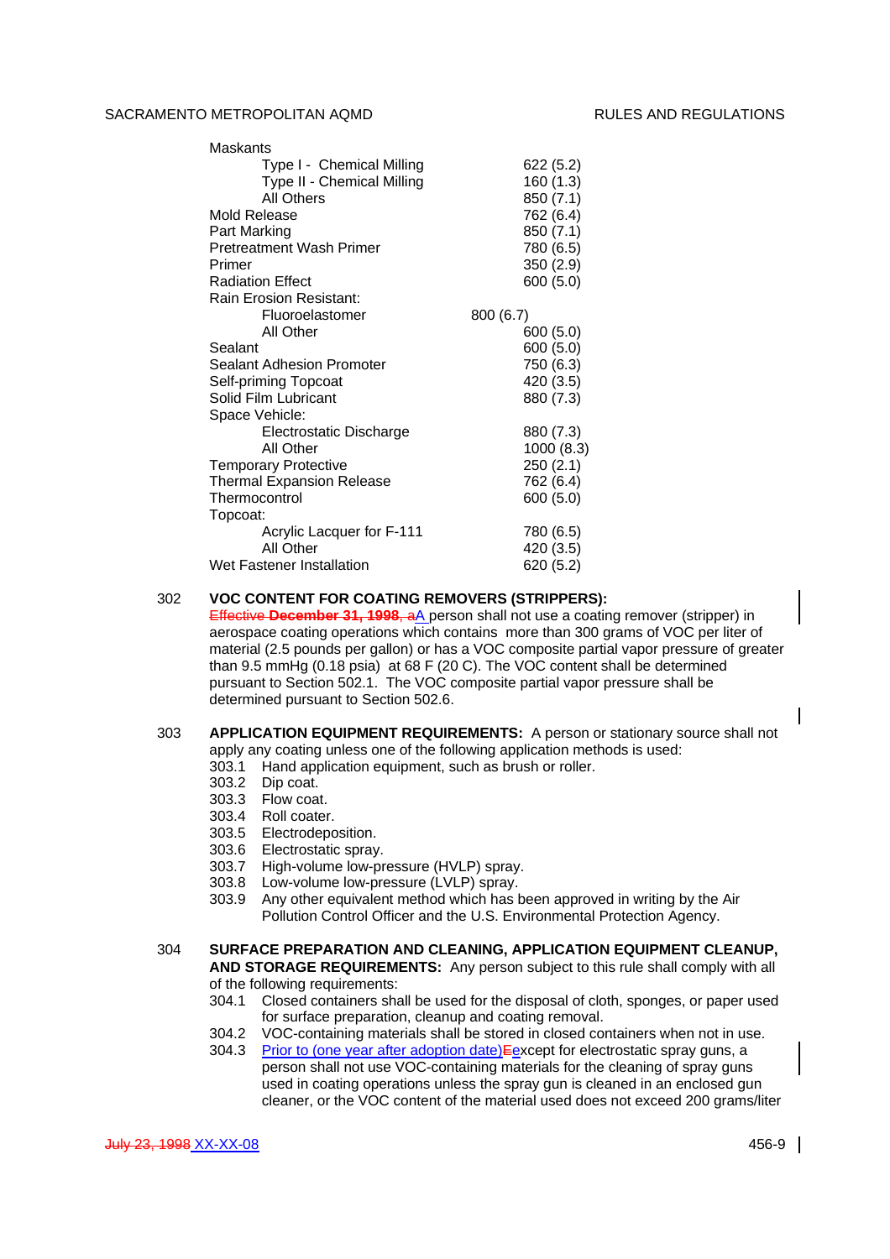Maskants

| iviaskants                       |            |
|----------------------------------|------------|
| Type I - Chemical Milling        | 622 (5.2)  |
| Type II - Chemical Milling       | 160 (1.3)  |
| <b>All Others</b>                | 850 (7.1)  |
| Mold Release                     | 762 (6.4)  |
| Part Marking                     | 850 (7.1)  |
| <b>Pretreatment Wash Primer</b>  | 780 (6.5)  |
| Primer                           | 350 (2.9)  |
| <b>Radiation Effect</b>          | 600 (5.0)  |
| Rain Erosion Resistant:          |            |
| Fluoroelastomer                  | 800 (6.7)  |
| All Other                        | 600 (5.0)  |
| Sealant                          | 600 (5.0)  |
| Sealant Adhesion Promoter        | 750 (6.3)  |
| Self-priming Topcoat             | 420 (3.5)  |
| Solid Film Lubricant             | 880 (7.3)  |
| Space Vehicle:                   |            |
| Electrostatic Discharge          | 880 (7.3)  |
| All Other                        | 1000 (8.3) |
| <b>Temporary Protective</b>      | 250 (2.1)  |
| <b>Thermal Expansion Release</b> | 762 (6.4)  |
| Thermocontrol                    | 600 (5.0)  |
| Topcoat:                         |            |
| Acrylic Lacquer for F-111        | 780 (6.5)  |
| All Other                        | 420 (3.5)  |
| Wet Fastener Installation        | 620 (5.2)  |
|                                  |            |

# 302 **VOC CONTENT FOR COATING REMOVERS (STRIPPERS):**

Effective **December 31, 1998**, aA person shall not use a coating remover (stripper) in aerospace coating operations which contains more than 300 grams of VOC per liter of material (2.5 pounds per gallon) or has a VOC composite partial vapor pressure of greater than 9.5 mmHg (0.18 psia) at 68 F (20 C). The VOC content shall be determined pursuant to Section 502.1. The VOC composite partial vapor pressure shall be determined pursuant to Section 502.6.

# 303 **APPLICATION EQUIPMENT REQUIREMENTS:** A person or stationary source shall not apply any coating unless one of the following application methods is used:

- 303.1 Hand application equipment, such as brush or roller.
- 303.2 Dip coat.
- 303.3 Flow coat.
- 303.4 Roll coater.
- 303.5 Electrodeposition.
- 303.6 Electrostatic spray.
- 303.7 High-volume low-pressure (HVLP) spray.
- 303.8 Low-volume low-pressure (LVLP) spray.
- 303.9 Any other equivalent method which has been approved in writing by the Air Pollution Control Officer and the U.S. Environmental Protection Agency.

#### 304 **SURFACE PREPARATION AND CLEANING, APPLICATION EQUIPMENT CLEANUP, AND STORAGE REQUIREMENTS:** Any person subject to this rule shall comply with all of the following requirements:

- 304.1 Closed containers shall be used for the disposal of cloth, sponges, or paper used for surface preparation, cleanup and coating removal.
- 304.2 VOC-containing materials shall be stored in closed containers when not in use. 304.3 Prior to (one year after adoption date) Eexcept for electrostatic spray guns, a person shall not use VOC-containing materials for the cleaning of spray guns used in coating operations unless the spray gun is cleaned in an enclosed gun cleaner, or the VOC content of the material used does not exceed 200 grams/liter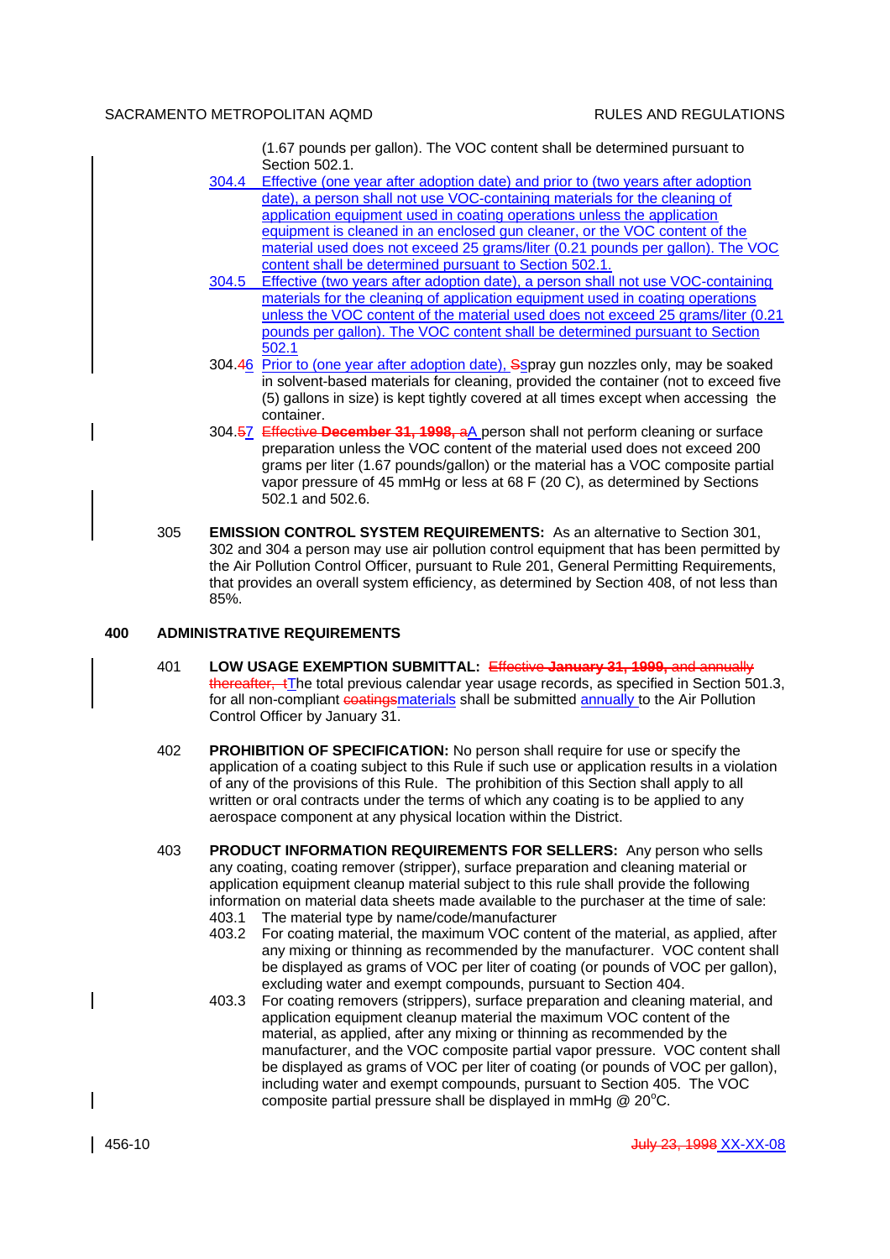(1.67 pounds per gallon). The VOC content shall be determined pursuant to Section 502.1.

- 304.4 Effective (one year after adoption date) and prior to (two years after adoption date), a person shall not use VOC-containing materials for the cleaning of application equipment used in coating operations unless the application equipment is cleaned in an enclosed gun cleaner, or the VOC content of the material used does not exceed 25 grams/liter (0.21 pounds per gallon). The VOC content shall be determined pursuant to Section 502.1.
- 304.5 Effective (two years after adoption date), a person shall not use VOC-containing materials for the cleaning of application equipment used in coating operations unless the VOC content of the material used does not exceed 25 grams/liter (0.21 pounds per gallon). The VOC content shall be determined pursuant to Section 502.1
- 304.46 Prior to (one year after adoption date), Sspray gun nozzles only, may be soaked in solvent-based materials for cleaning, provided the container (not to exceed five (5) gallons in size) is kept tightly covered at all times except when accessing the container.
- 304.57 Effective **December 31, 1998,** aA person shall not perform cleaning or surface preparation unless the VOC content of the material used does not exceed 200 grams per liter (1.67 pounds/gallon) or the material has a VOC composite partial vapor pressure of 45 mmHg or less at 68 F (20 C), as determined by Sections 502.1 and 502.6.
- 305 **EMISSION CONTROL SYSTEM REQUIREMENTS:** As an alternative to Section 301, 302 and 304 a person may use air pollution control equipment that has been permitted by the Air Pollution Control Officer, pursuant to Rule 201, General Permitting Requirements, that provides an overall system efficiency, as determined by Section 408, of not less than 85%.

# **400 ADMINISTRATIVE REQUIREMENTS**

- 401 **LOW USAGE EXEMPTION SUBMITTAL:** Effective **January 31, 1999,** and annually thereafter, tThe total previous calendar year usage records, as specified in Section 501.3, for all non-compliant coatingsmaterials shall be submitted annually to the Air Pollution Control Officer by January 31.
- 402 **PROHIBITION OF SPECIFICATION:** No person shall require for use or specify the application of a coating subject to this Rule if such use or application results in a violation of any of the provisions of this Rule. The prohibition of this Section shall apply to all written or oral contracts under the terms of which any coating is to be applied to any aerospace component at any physical location within the District.
- 403 **PRODUCT INFORMATION REQUIREMENTS FOR SELLERS:** Any person who sells any coating, coating remover (stripper), surface preparation and cleaning material or application equipment cleanup material subject to this rule shall provide the following information on material data sheets made available to the purchaser at the time of sale: 403.1 The material type by name/code/manufacturer
	- 403.2 For coating material, the maximum VOC content of the material, as applied, after any mixing or thinning as recommended by the manufacturer. VOC content shall be displayed as grams of VOC per liter of coating (or pounds of VOC per gallon), excluding water and exempt compounds, pursuant to Section 404.
	- 403.3 For coating removers (strippers), surface preparation and cleaning material, and application equipment cleanup material the maximum VOC content of the material, as applied, after any mixing or thinning as recommended by the manufacturer, and the VOC composite partial vapor pressure. VOC content shall be displayed as grams of VOC per liter of coating (or pounds of VOC per gallon), including water and exempt compounds, pursuant to Section 405. The VOC composite partial pressure shall be displayed in mmHg  $@$  20 $°C$ .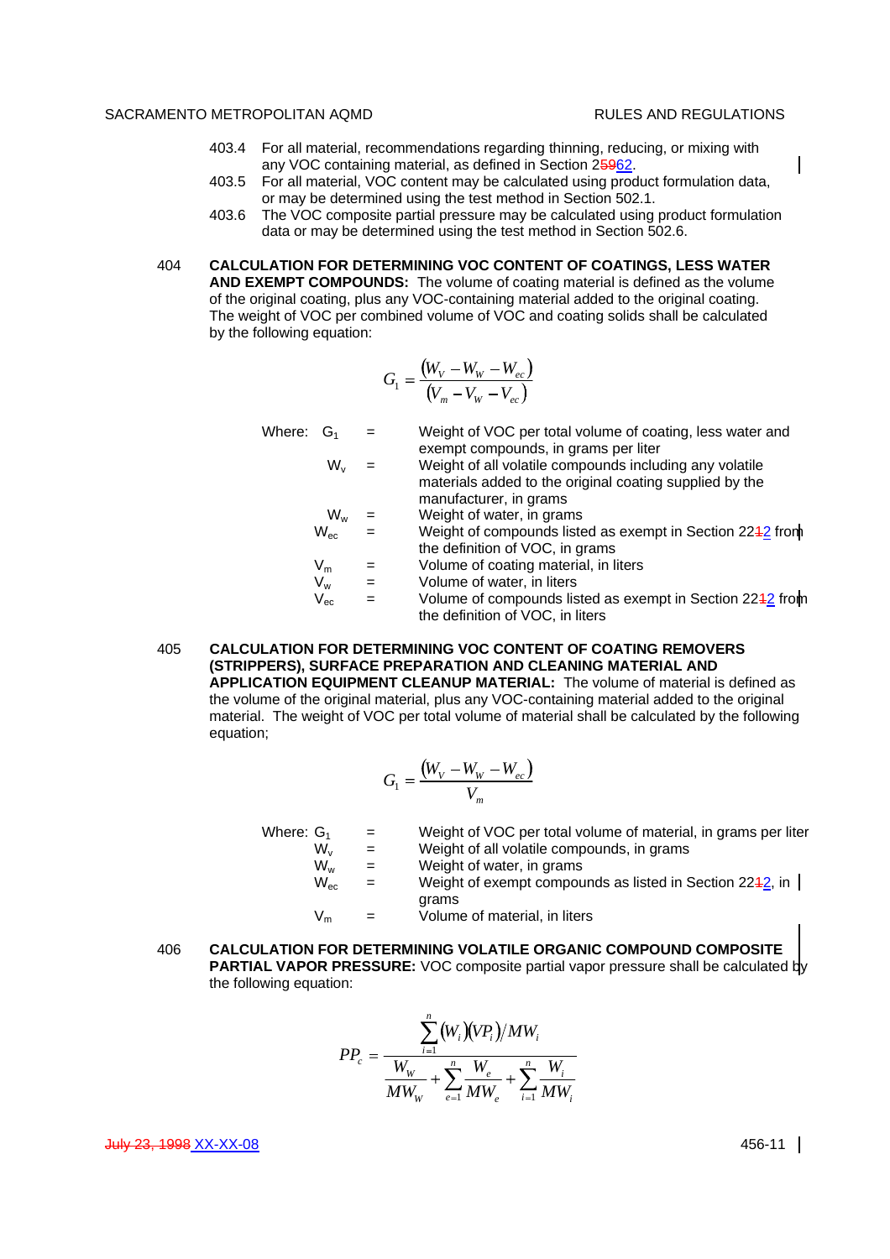$\mathsf{l}$ 

- 403.4 For all material, recommendations regarding thinning, reducing, or mixing with any VOC containing material, as defined in Section 25962.
- 403.5 For all material, VOC content may be calculated using product formulation data, or may be determined using the test method in Section 502.1.
- 403.6 The VOC composite partial pressure may be calculated using product formulation data or may be determined using the test method in Section 502.6.
- 404 **CALCULATION FOR DETERMINING VOC CONTENT OF COATINGS, LESS WATER AND EXEMPT COMPOUNDS:** The volume of coating material is defined as the volume of the original coating, plus any VOC-containing material added to the original coating. The weight of VOC per combined volume of VOC and coating solids shall be calculated by the following equation:

$$
G_1 = \frac{(W_V - W_W - W_{ec})}{(V_m - V_W - V_{ec})}
$$

Where:  $G_1 =$  Weight of VOC per total volume of coating, less water and exempt compounds, in grams per liter  $W_v$  = Weight of all volatile compounds including any volatile materials added to the original coating supplied by the manufacturer, in grams  $W_w$  = Weight of water, in grams  $W_{\text{ec}}$  = Weight of compounds listed as exempt in Section 2242 from the definition of VOC, in grams  $V_m$  = Volume of coating material, in liters<br>  $V_w$  = Volume of water, in liters  $=$  Volume of water, in liters  $V_{\text{ec}}$  = Volume of compounds listed as exempt in Section 2242 from the definition of VOC, in liters

405 **CALCULATION FOR DETERMINING VOC CONTENT OF COATING REMOVERS (STRIPPERS), SURFACE PREPARATION AND CLEANING MATERIAL AND APPLICATION EQUIPMENT CLEANUP MATERIAL:** The volume of material is defined as the volume of the original material, plus any VOC-containing material added to the original material. The weight of VOC per total volume of material shall be calculated by the following equation;

$$
G_1 = \frac{(W_V - W_W - W_{ec})}{V_m}
$$

| Where: $\mathsf{G}_\mathsf{1}$ | $\mathbf{r} = \mathbf{r}$ | Weight of VOC per total volume of material, in grams per liter |
|--------------------------------|---------------------------|----------------------------------------------------------------|
| W.                             | $=$                       | Weight of all volatile compounds, in grams                     |
| $W_{w}$                        | $=$                       | Weight of water, in grams                                      |
| $W_{ac}$                       | $=$                       | Weight of exempt compounds as listed in Section 2242, in       |
|                                | $=$                       | grams<br>Volume of material, in liters                         |

406 **CALCULATION FOR DETERMINING VOLATILE ORGANIC COMPOUND COMPOSITE PARTIAL VAPOR PRESSURE:** VOC composite partial vapor pressure shall be calculated by the following equation:

$$
PP_c = \frac{\sum_{i=1}^{n} (W_i)(VP_i)/MW_i}{W_W} + \sum_{e=1}^{n} \frac{W_e}{MW_e} + \sum_{i=1}^{n} \frac{W_i}{MW_i}
$$

July 23, 1998 XX-XX-08 456-11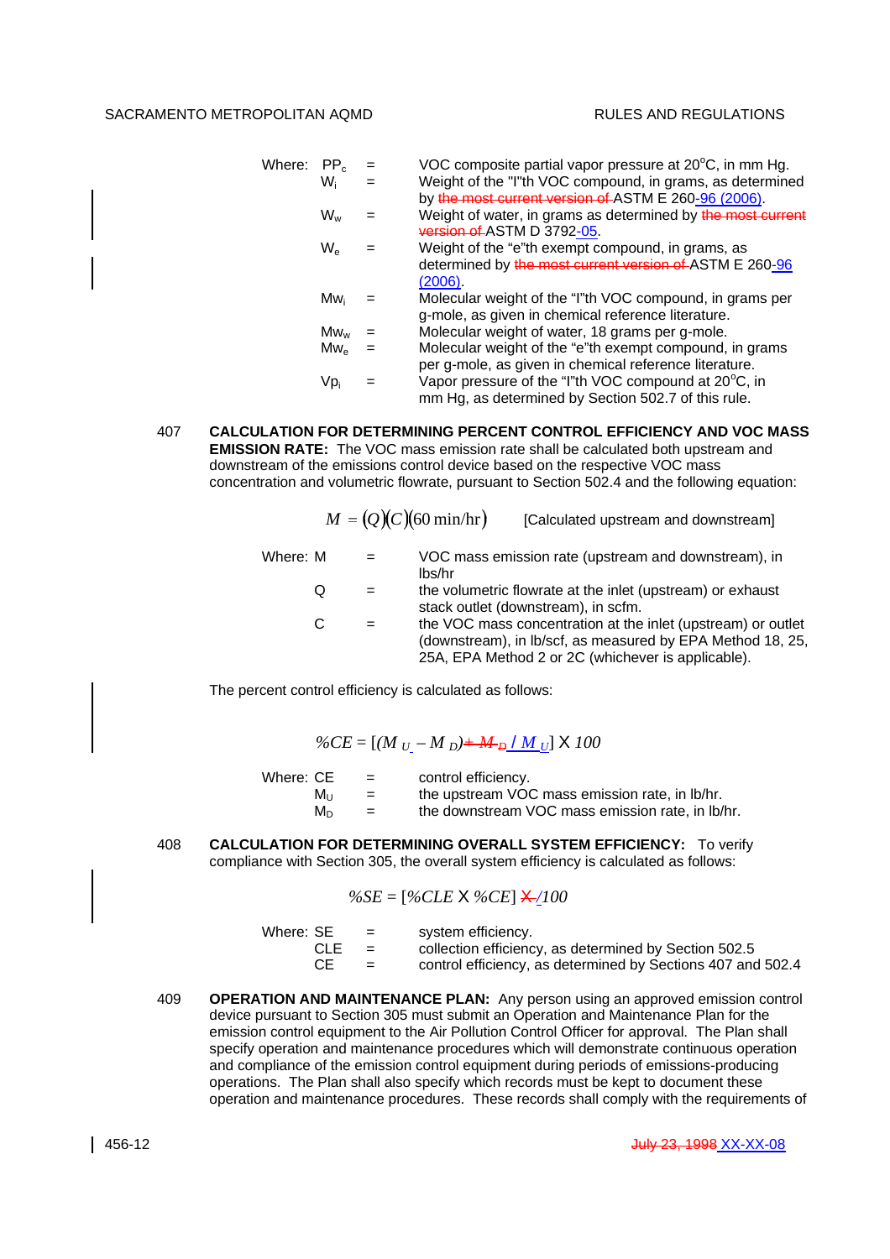| Where: $PP_c$ | $=$ | VOC composite partial vapor pressure at 20°C, in mm Hg.     |
|---------------|-----|-------------------------------------------------------------|
| Wi            |     | Weight of the "I"th VOC compound, in grams, as determined   |
|               |     | by the most current version of ASTM E 260-96 (2006).        |
| $W_w$         |     | Weight of water, in grams as determined by the most current |
|               |     | version of ASTM D 3792-05.                                  |
| $W_{\rm e}$   |     | Weight of the "e"th exempt compound, in grams, as           |
|               |     | determined by the most current version of ASTM E 260-96     |
|               |     | (2006).                                                     |
| Mw.           |     | Molecular weight of the "I"th VOC compound, in grams per    |
|               |     | g-mole, as given in chemical reference literature.          |
| $Mw_w$        |     | Molecular weight of water, 18 grams per g-mole.             |
| $Mw_{\alpha}$ |     | Molecular weight of the "e"th exempt compound, in grams     |
|               |     | per g-mole, as given in chemical reference literature.      |
| Vpi           |     | Vapor pressure of the "I"th VOC compound at 20°C, in        |
|               |     | mm Hg, as determined by Section 502.7 of this rule.         |
|               |     |                                                             |

407 **CALCULATION FOR DETERMINING PERCENT CONTROL EFFICIENCY AND VOC MASS EMISSION RATE:** The VOC mass emission rate shall be calculated both upstream and downstream of the emissions control device based on the respective VOC mass concentration and volumetric flowrate, pursuant to Section 502.4 and the following equation:

|          |   |     | $M = (Q)(C)(60 \text{ min/hr})$<br>[Calculated upstream and downstream]                                                                                                          |
|----------|---|-----|----------------------------------------------------------------------------------------------------------------------------------------------------------------------------------|
| Where: M |   | $=$ | VOC mass emission rate (upstream and downstream), in<br>lbs/hr                                                                                                                   |
|          | Q | $=$ | the volumetric flowrate at the inlet (upstream) or exhaust<br>stack outlet (downstream), in scfm.                                                                                |
|          | C |     | the VOC mass concentration at the inlet (upstream) or outlet<br>(downstream), in lb/scf, as measured by EPA Method 18, 25,<br>25A, EPA Method 2 or 2C (whichever is applicable). |

The percent control efficiency is calculated as follows:

$$
\%CE = [(M_{U} - M_{D}) + M_{D}/M_{U}] \times 100
$$

| Where: CE | $=$ | control efficiency.                              |
|-----------|-----|--------------------------------------------------|
| Mu        | $=$ | the upstream VOC mass emission rate, in Ib/hr.   |
| M∩        | $=$ | the downstream VOC mass emission rate, in lb/hr. |

408 **CALCULATION FOR DETERMINING OVERALL SYSTEM EFFICIENCY:** To verify compliance with Section 305, the overall system efficiency is calculated as follows:

$$
\%SE = [\%CLE \times \%CE] \times 100
$$

| Where: SE | <b>CONTRACTOR</b> | system efficiency.                                          |
|-----------|-------------------|-------------------------------------------------------------|
| CLE.      | $=$               | collection efficiency, as determined by Section 502.5       |
| CЕ        | $=$               | control efficiency, as determined by Sections 407 and 502.4 |

409 **OPERATION AND MAINTENANCE PLAN:** Any person using an approved emission control device pursuant to Section 305 must submit an Operation and Maintenance Plan for the emission control equipment to the Air Pollution Control Officer for approval. The Plan shall specify operation and maintenance procedures which will demonstrate continuous operation and compliance of the emission control equipment during periods of emissions-producing operations. The Plan shall also specify which records must be kept to document these operation and maintenance procedures. These records shall comply with the requirements of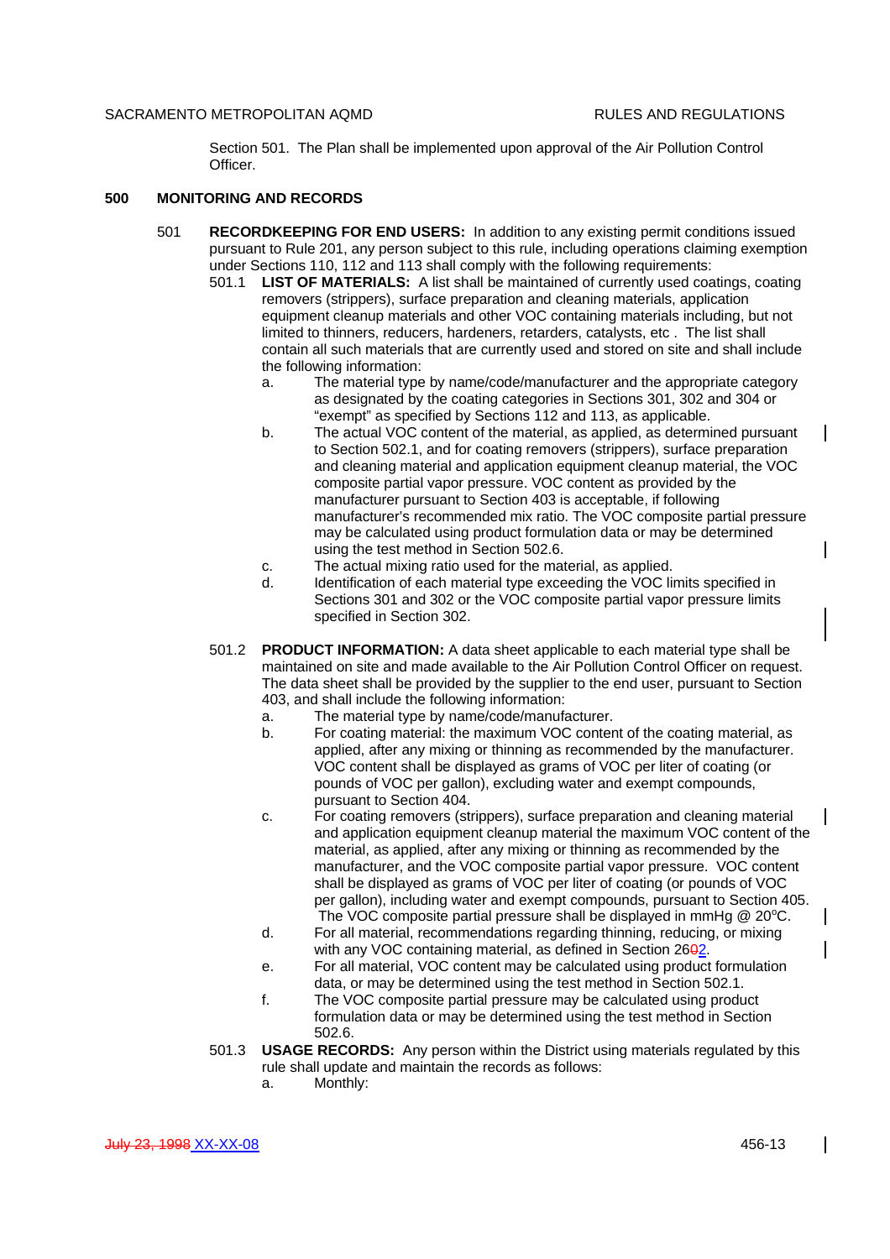$\mathbf{I}$ 

 $\overline{\phantom{a}}$ 

 $\mathbf l$ 

Section 501. The Plan shall be implemented upon approval of the Air Pollution Control Officer.

## **500 MONITORING AND RECORDS**

- 501 **RECORDKEEPING FOR END USERS:** In addition to any existing permit conditions issued pursuant to Rule 201, any person subject to this rule, including operations claiming exemption under Sections 110, 112 and 113 shall comply with the following requirements:
	- 501.1 **LIST OF MATERIALS:** A list shall be maintained of currently used coatings, coating removers (strippers), surface preparation and cleaning materials, application equipment cleanup materials and other VOC containing materials including, but not limited to thinners, reducers, hardeners, retarders, catalysts, etc . The list shall contain all such materials that are currently used and stored on site and shall include the following information:
		- a. The material type by name/code/manufacturer and the appropriate category as designated by the coating categories in Sections 301, 302 and 304 or "exempt" as specified by Sections 112 and 113, as applicable.
		- b. The actual VOC content of the material, as applied, as determined pursuant to Section 502.1, and for coating removers (strippers), surface preparation and cleaning material and application equipment cleanup material, the VOC composite partial vapor pressure. VOC content as provided by the manufacturer pursuant to Section 403 is acceptable, if following manufacturer's recommended mix ratio. The VOC composite partial pressure may be calculated using product formulation data or may be determined using the test method in Section 502.6.
		- c. The actual mixing ratio used for the material, as applied.
		- d. Identification of each material type exceeding the VOC limits specified in Sections 301 and 302 or the VOC composite partial vapor pressure limits specified in Section 302.
	- 501.2 **PRODUCT INFORMATION:** A data sheet applicable to each material type shall be maintained on site and made available to the Air Pollution Control Officer on request. The data sheet shall be provided by the supplier to the end user, pursuant to Section 403, and shall include the following information:
		- a. The material type by name/code/manufacturer.
		- b. For coating material: the maximum VOC content of the coating material, as applied, after any mixing or thinning as recommended by the manufacturer. VOC content shall be displayed as grams of VOC per liter of coating (or pounds of VOC per gallon), excluding water and exempt compounds, pursuant to Section 404.
		- c. For coating removers (strippers), surface preparation and cleaning material and application equipment cleanup material the maximum VOC content of the material, as applied, after any mixing or thinning as recommended by the manufacturer, and the VOC composite partial vapor pressure. VOC content shall be displayed as grams of VOC per liter of coating (or pounds of VOC per gallon), including water and exempt compounds, pursuant to Section 405. The VOC composite partial pressure shall be displayed in mmHg  $@$  20 $°C$ .
		- d. For all material, recommendations regarding thinning, reducing, or mixing with any VOC containing material, as defined in Section  $26 $\theta$ 2$ .
		- e. For all material, VOC content may be calculated using product formulation data, or may be determined using the test method in Section 502.1.
		- f. The VOC composite partial pressure may be calculated using product formulation data or may be determined using the test method in Section 502.6.
	- 501.3 **USAGE RECORDS:** Any person within the District using materials regulated by this rule shall update and maintain the records as follows:
		- a. Monthly:

 $\mathbf l$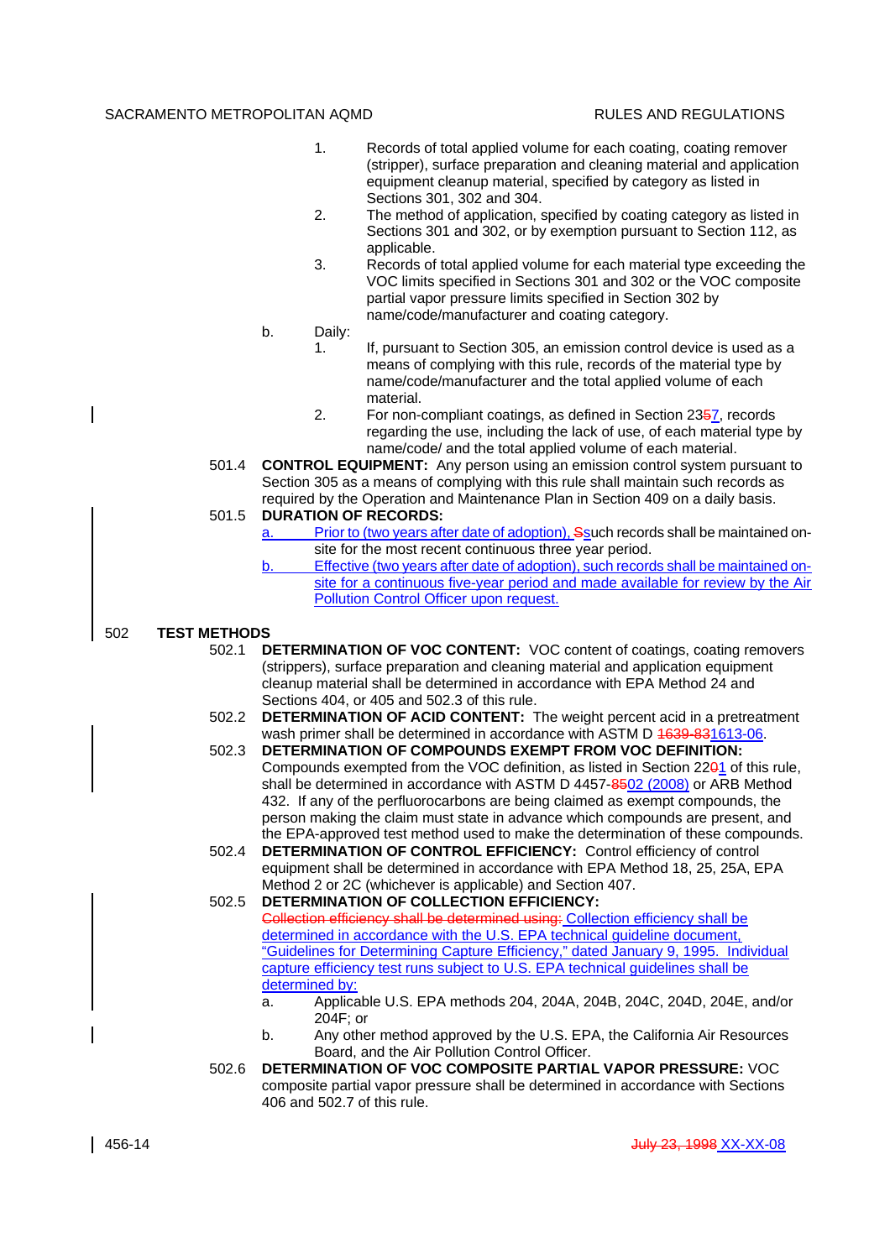- 1. Records of total applied volume for each coating, coating remover (stripper), surface preparation and cleaning material and application equipment cleanup material, specified by category as listed in Sections 301, 302 and 304.
- 2. The method of application, specified by coating category as listed in Sections 301 and 302, or by exemption pursuant to Section 112, as applicable.
- 3. Records of total applied volume for each material type exceeding the VOC limits specified in Sections 301 and 302 or the VOC composite partial vapor pressure limits specified in Section 302 by name/code/manufacturer and coating category.
- b. Daily:
	- 1. If, pursuant to Section 305, an emission control device is used as a means of complying with this rule, records of the material type by name/code/manufacturer and the total applied volume of each material.
	- 2. For non-compliant coatings, as defined in Section 2357, records regarding the use, including the lack of use, of each material type by name/code/ and the total applied volume of each material.
- 501.4 **CONTROL EQUIPMENT:** Any person using an emission control system pursuant to Section 305 as a means of complying with this rule shall maintain such records as required by the Operation and Maintenance Plan in Section 409 on a daily basis.

# 501.5 **DURATION OF RECORDS:**

- a. Prior to (two years after date of adoption), Ssuch records shall be maintained onsite for the most recent continuous three year period.
- b. Effective (two years after date of adoption), such records shall be maintained onsite for a continuous five-year period and made available for review by the Air Pollution Control Officer upon request.

#### 502 **TEST METHODS**

- 502.1 **DETERMINATION OF VOC CONTENT:** VOC content of coatings, coating removers (strippers), surface preparation and cleaning material and application equipment cleanup material shall be determined in accordance with EPA Method 24 and Sections 404, or 405 and 502.3 of this rule.
- 502.2 **DETERMINATION OF ACID CONTENT:** The weight percent acid in a pretreatment wash primer shall be determined in accordance with ASTM D 4639-831613-06.
- 502.3 **DETERMINATION OF COMPOUNDS EXEMPT FROM VOC DEFINITION:** Compounds exempted from the VOC definition, as listed in Section 2201 of this rule, shall be determined in accordance with ASTM D 4457-8502 (2008) or ARB Method 432. If any of the perfluorocarbons are being claimed as exempt compounds, the person making the claim must state in advance which compounds are present, and the EPA-approved test method used to make the determination of these compounds.
- 502.4 **DETERMINATION OF CONTROL EFFICIENCY:** Control efficiency of control equipment shall be determined in accordance with EPA Method 18, 25, 25A, EPA Method 2 or 2C (whichever is applicable) and Section 407.

502.5 **DETERMINATION OF COLLECTION EFFICIENCY:** Collection efficiency shall be determined using: Collection efficiency shall be determined in accordance with the U.S. EPA technical guideline document, "Guidelines for Determining Capture Efficiency," dated January 9, 1995. Individual capture efficiency test runs subject to U.S. EPA technical guidelines shall be determined by:

- a. Applicable U.S. EPA methods 204, 204A, 204B, 204C, 204D, 204E, and/or 204F; or
- b. Any other method approved by the U.S. EPA, the California Air Resources Board, and the Air Pollution Control Officer.
- 502.6 **DETERMINATION OF VOC COMPOSITE PARTIAL VAPOR PRESSURE:** VOC composite partial vapor pressure shall be determined in accordance with Sections 406 and 502.7 of this rule.